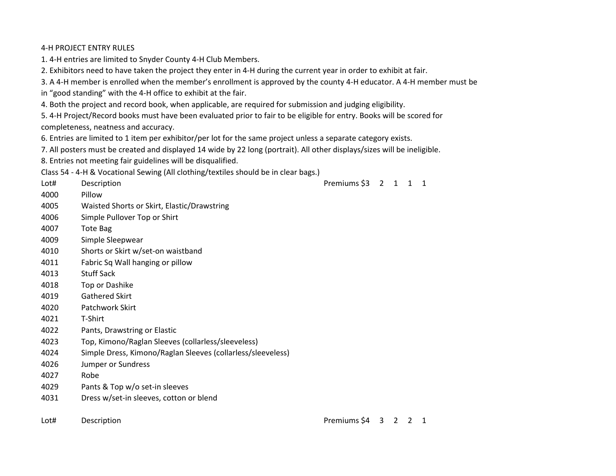### 4-H PROJECT ENTRY RULES

1. 4-H entries are limited to Snyder County 4-H Club Members.

2. Exhibitors need to have taken the project they enter in 4-H during the current year in order to exhibit at fair.

3. A 4-H member is enrolled when the member's enrollment is approved by the county 4-H educator. A 4-H member must be

in "good standing" with the 4-H office to exhibit at the fair.

4. Both the project and record book, when applicable, are required for submission and judging eligibility.

5. 4-H Project/Record books must have been evaluated prior to fair to be eligible for entry. Books will be scored for completeness, neatness and accuracy.

6. Entries are limited to 1 item per exhibitor/per lot for the same project unless a separate category exists.

7. All posters must be created and displayed 14 wide by 22 long (portrait). All other displays/sizes will be ineligible.

8. Entries not meeting fair guidelines will be disqualified.

Class 54 - 4-H & Vocational Sewing (All clothing/textiles should be in clear bags.)

| Lot# | Description                                                 | Premiums \$3 | $2 \quad 1$ | $\mathbf{1}$ | $\mathbf{1}$ |
|------|-------------------------------------------------------------|--------------|-------------|--------------|--------------|
| 4000 | Pillow                                                      |              |             |              |              |
| 4005 | Waisted Shorts or Skirt, Elastic/Drawstring                 |              |             |              |              |
| 4006 | Simple Pullover Top or Shirt                                |              |             |              |              |
| 4007 | <b>Tote Bag</b>                                             |              |             |              |              |
| 4009 | Simple Sleepwear                                            |              |             |              |              |
| 4010 | Shorts or Skirt w/set-on waistband                          |              |             |              |              |
| 4011 | Fabric Sq Wall hanging or pillow                            |              |             |              |              |
| 4013 | <b>Stuff Sack</b>                                           |              |             |              |              |
| 4018 | Top or Dashike                                              |              |             |              |              |
| 4019 | <b>Gathered Skirt</b>                                       |              |             |              |              |
| 4020 | Patchwork Skirt                                             |              |             |              |              |
| 4021 | T-Shirt                                                     |              |             |              |              |
| 4022 | Pants, Drawstring or Elastic                                |              |             |              |              |
| 4023 | Top, Kimono/Raglan Sleeves (collarless/sleeveless)          |              |             |              |              |
| 4024 | Simple Dress, Kimono/Raglan Sleeves (collarless/sleeveless) |              |             |              |              |
| 4026 | Jumper or Sundress                                          |              |             |              |              |
| 4027 | Robe                                                        |              |             |              |              |
| 4029 | Pants & Top w/o set-in sleeves                              |              |             |              |              |
| 4031 | Dress w/set-in sleeves, cotton or blend                     |              |             |              |              |
|      |                                                             |              |             |              |              |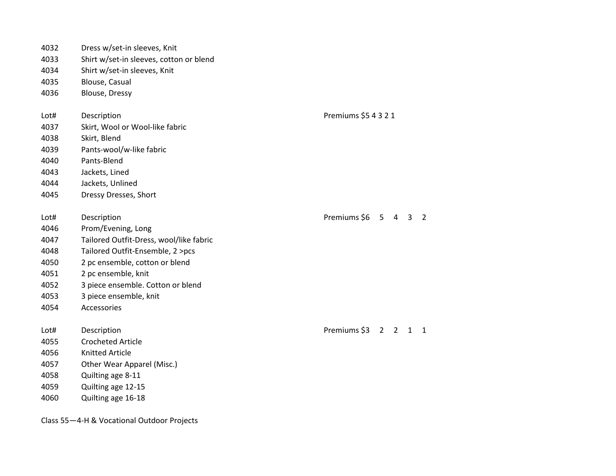| 4032         | Dress w/set-in sleeves, Knit            |                                                                |
|--------------|-----------------------------------------|----------------------------------------------------------------|
| 4033         | Shirt w/set-in sleeves, cotton or blend |                                                                |
| 4034         | Shirt w/set-in sleeves, Knit            |                                                                |
| 4035         | Blouse, Casual                          |                                                                |
| 4036         | Blouse, Dressy                          |                                                                |
|              |                                         |                                                                |
| Lot#         | Description                             | Premiums \$5 4 3 2 1                                           |
| 4037         | Skirt, Wool or Wool-like fabric         |                                                                |
| 4038         | Skirt, Blend                            |                                                                |
| 4039         | Pants-wool/w-like fabric                |                                                                |
| 4040         | Pants-Blend                             |                                                                |
| 4043         | Jackets, Lined                          |                                                                |
| 4044         | Jackets, Unlined                        |                                                                |
| 4045         | Dressy Dresses, Short                   |                                                                |
|              |                                         |                                                                |
| Lot#         | Description                             | Premiums \$6<br>$5 -$<br>$\overline{4}$<br>3<br>$\overline{2}$ |
| 4046         | Prom/Evening, Long                      |                                                                |
| 4047         | Tailored Outfit-Dress, wool/like fabric |                                                                |
| 4048         | Tailored Outfit-Ensemble, 2 >pcs        |                                                                |
| 4050         | 2 pc ensemble, cotton or blend          |                                                                |
| 4051         | 2 pc ensemble, knit                     |                                                                |
| 4052         | 3 piece ensemble. Cotton or blend       |                                                                |
| 4053         | 3 piece ensemble, knit                  |                                                                |
| 4054         | Accessories                             |                                                                |
|              |                                         | Premiums \$3                                                   |
| Lot#<br>4055 | Description<br><b>Crocheted Article</b> | 2 <sub>2</sub><br>$\mathbf{1}$<br>$\mathbf{1}$                 |
|              |                                         |                                                                |
| 4056         | <b>Knitted Article</b>                  |                                                                |
| 4057         | Other Wear Apparel (Misc.)              |                                                                |
| 4058         | Quilting age 8-11                       |                                                                |
| 4059         | Quilting age 12-15                      |                                                                |
| 4060         | Quilting age 16-18                      |                                                                |
|              |                                         |                                                                |

Class 55—4-H & Vocational Outdoor Projects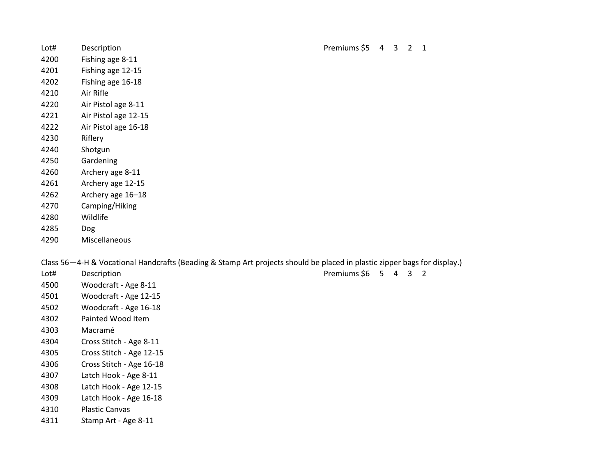| Lot# | Description                                                                                                              | Premiums \$5 4       | $\mathbf{3}$ | $2 \quad 1$ |  |
|------|--------------------------------------------------------------------------------------------------------------------------|----------------------|--------------|-------------|--|
| 4200 | Fishing age 8-11                                                                                                         |                      |              |             |  |
| 4201 | Fishing age 12-15                                                                                                        |                      |              |             |  |
| 4202 | Fishing age 16-18                                                                                                        |                      |              |             |  |
| 4210 | Air Rifle                                                                                                                |                      |              |             |  |
| 4220 | Air Pistol age 8-11                                                                                                      |                      |              |             |  |
| 4221 | Air Pistol age 12-15                                                                                                     |                      |              |             |  |
| 4222 | Air Pistol age 16-18                                                                                                     |                      |              |             |  |
| 4230 | Riflery                                                                                                                  |                      |              |             |  |
| 4240 | Shotgun                                                                                                                  |                      |              |             |  |
| 4250 | Gardening                                                                                                                |                      |              |             |  |
| 4260 | Archery age 8-11                                                                                                         |                      |              |             |  |
| 4261 | Archery age 12-15                                                                                                        |                      |              |             |  |
| 4262 | Archery age 16-18                                                                                                        |                      |              |             |  |
| 4270 | Camping/Hiking                                                                                                           |                      |              |             |  |
| 4280 | Wildlife                                                                                                                 |                      |              |             |  |
| 4285 | Dog                                                                                                                      |                      |              |             |  |
| 4290 | Miscellaneous                                                                                                            |                      |              |             |  |
|      | Class 56-4-H & Vocational Handcrafts (Beading & Stamp Art projects should be placed in plastic zipper bags for display.) |                      |              |             |  |
| Lot# | Description                                                                                                              | Premiums \$6 5 4 3 2 |              |             |  |
| 4500 | Woodcraft - Age 8-11                                                                                                     |                      |              |             |  |
| 4501 | Woodcraft - Age 12-15                                                                                                    |                      |              |             |  |
| 4502 | Woodcraft - Age 16-18                                                                                                    |                      |              |             |  |
| 4302 | Painted Wood Item                                                                                                        |                      |              |             |  |
| 4303 | Macramé                                                                                                                  |                      |              |             |  |
| 4304 | Cross Stitch - Age 8-11                                                                                                  |                      |              |             |  |
| 4305 | Cross Stitch - Age 12-15                                                                                                 |                      |              |             |  |

- Cross Stitch Age 16-18
- Latch Hook Age 8-11
- Latch Hook Age 12-15
- Latch Hook Age 16-18
- Plastic Canvas
- Stamp Art Age 8-11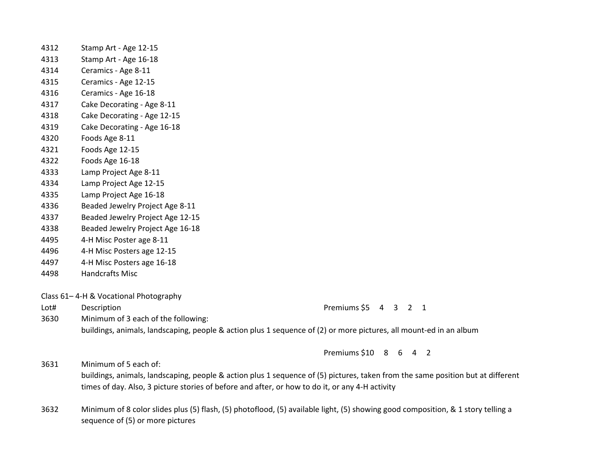| 4312 | Stamp Art - Age 12-15                                                                                                                                                                                                              |                       |  |  |  |
|------|------------------------------------------------------------------------------------------------------------------------------------------------------------------------------------------------------------------------------------|-----------------------|--|--|--|
| 4313 | Stamp Art - Age 16-18                                                                                                                                                                                                              |                       |  |  |  |
| 4314 | Ceramics - Age 8-11                                                                                                                                                                                                                |                       |  |  |  |
| 4315 | Ceramics - Age 12-15                                                                                                                                                                                                               |                       |  |  |  |
| 4316 | Ceramics - Age 16-18                                                                                                                                                                                                               |                       |  |  |  |
| 4317 | Cake Decorating - Age 8-11                                                                                                                                                                                                         |                       |  |  |  |
| 4318 | Cake Decorating - Age 12-15                                                                                                                                                                                                        |                       |  |  |  |
| 4319 | Cake Decorating - Age 16-18                                                                                                                                                                                                        |                       |  |  |  |
| 4320 | Foods Age 8-11                                                                                                                                                                                                                     |                       |  |  |  |
| 4321 | Foods Age 12-15                                                                                                                                                                                                                    |                       |  |  |  |
| 4322 | Foods Age 16-18                                                                                                                                                                                                                    |                       |  |  |  |
| 4333 | Lamp Project Age 8-11                                                                                                                                                                                                              |                       |  |  |  |
| 4334 | Lamp Project Age 12-15                                                                                                                                                                                                             |                       |  |  |  |
| 4335 | Lamp Project Age 16-18                                                                                                                                                                                                             |                       |  |  |  |
| 4336 | Beaded Jewelry Project Age 8-11                                                                                                                                                                                                    |                       |  |  |  |
| 4337 | Beaded Jewelry Project Age 12-15                                                                                                                                                                                                   |                       |  |  |  |
| 4338 | Beaded Jewelry Project Age 16-18                                                                                                                                                                                                   |                       |  |  |  |
| 4495 | 4-H Misc Poster age 8-11                                                                                                                                                                                                           |                       |  |  |  |
| 4496 | 4-H Misc Posters age 12-15                                                                                                                                                                                                         |                       |  |  |  |
| 4497 | 4-H Misc Posters age 16-18                                                                                                                                                                                                         |                       |  |  |  |
| 4498 | <b>Handcrafts Misc</b>                                                                                                                                                                                                             |                       |  |  |  |
|      | Class 61-4-H & Vocational Photography                                                                                                                                                                                              |                       |  |  |  |
| Lot# | Description                                                                                                                                                                                                                        | Premiums \$5 4 3 2 1  |  |  |  |
| 3630 | Minimum of 3 each of the following:                                                                                                                                                                                                |                       |  |  |  |
|      | buildings, animals, landscaping, people & action plus 1 sequence of (2) or more pictures, all mount-ed in an album                                                                                                                 |                       |  |  |  |
|      |                                                                                                                                                                                                                                    | Premiums \$10 8 6 4 2 |  |  |  |
| 3631 | Minimum of 5 each of:                                                                                                                                                                                                              |                       |  |  |  |
|      | buildings, animals, landscaping, people & action plus 1 sequence of (5) pictures, taken from the same position but at different<br>times of day. Also, 3 picture stories of before and after, or how to do it, or any 4-H activity |                       |  |  |  |
| 2022 | natitive configuration of a /m/ fight /m/ charactic collective studies from a feveral consecutive consequence and the                                                                                                              |                       |  |  |  |

 Minimum of 8 color slides plus (5) flash, (5) photoflood, (5) available light, (5) showing good composition, & 1 story telling a sequence of (5) or more pictures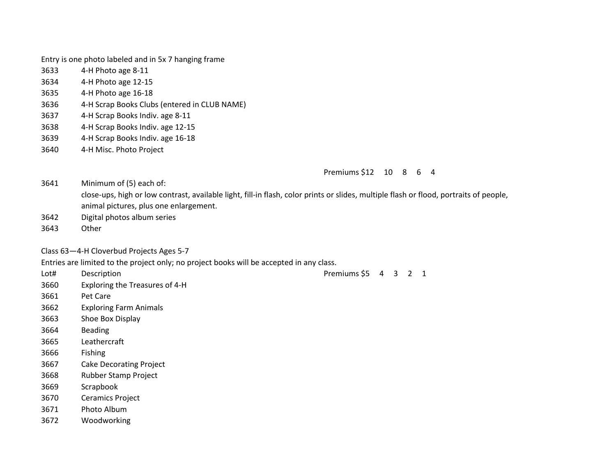Entry is one photo labeled and in 5x 7 hanging frame

- 4-H Photo age 8-11
- 4-H Photo age 12-15
- 4-H Photo age 16-18
- 4-H Scrap Books Clubs (entered in CLUB NAME)
- 4-H Scrap Books Indiv. age 8-11
- 4-H Scrap Books Indiv. age 12-15
- 4-H Scrap Books Indiv. age 16-18
- 4-H Misc. Photo Project

Premiums \$12 10 8 6 4

Minimum of (5) each of:

close-ups, high or low contrast, available light, fill-in flash, color prints or slides, multiple flash or flood, portraits of people, animal pictures, plus one enlargement.

- Digital photos album series
- Other

### Class 63—4-H Cloverbud Projects Ages 5-7

Entries are limited to the project only; no project books will be accepted in any class.

- Lot# Description **Premiums \$5 4 3 2 1**  Exploring the Treasures of 4-H Pet Care Exploring Farm Animals Shoe Box Display Beading Leathercraft Fishing Cake Decorating Project Rubber Stamp Project Scrapbook Ceramics Project Photo Album
- Woodworking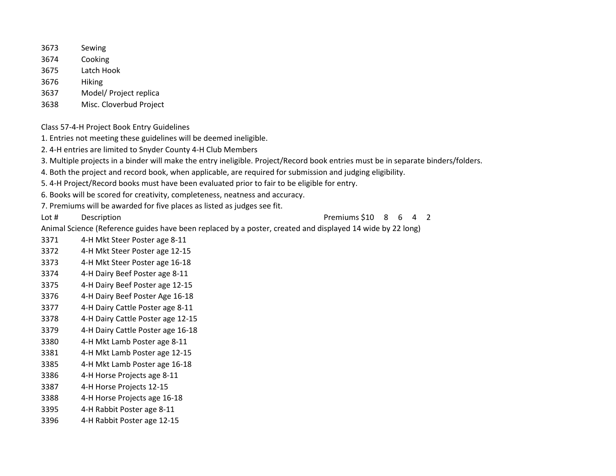- Sewing
- Cooking
- Latch Hook
- Hiking
- Model/ Project replica
- Misc. Cloverbud Project
- Class 57-4-H Project Book Entry Guidelines
- 1. Entries not meeting these guidelines will be deemed ineligible.
- 2. 4-H entries are limited to Snyder County 4-H Club Members
- 3. Multiple projects in a binder will make the entry ineligible. Project/Record book entries must be in separate binders/folders.
- 4. Both the project and record book, when applicable, are required for submission and judging eligibility.
- 5. 4-H Project/Record books must have been evaluated prior to fair to be eligible for entry.
- 6. Books will be scored for creativity, completeness, neatness and accuracy.
- 7. Premiums will be awarded for five places as listed as judges see fit.
- 

Lot # Description **Description Description Premiums** \$10 8 6 4 2

- Animal Science (Reference guides have been replaced by a poster, created and displayed 14 wide by 22 long)
- 4-H Mkt Steer Poster age 8-11
- 4-H Mkt Steer Poster age 12-15
- 4-H Mkt Steer Poster age 16-18
- 4-H Dairy Beef Poster age 8-11
- 4-H Dairy Beef Poster age 12-15
- 4-H Dairy Beef Poster Age 16-18
- 4-H Dairy Cattle Poster age 8-11
- 4-H Dairy Cattle Poster age 12-15
- 4-H Dairy Cattle Poster age 16-18
- 4-H Mkt Lamb Poster age 8-11
- 4-H Mkt Lamb Poster age 12-15
- 4-H Mkt Lamb Poster age 16-18
- 4-H Horse Projects age 8-11
- 4-H Horse Projects 12-15
- 4-H Horse Projects age 16-18
- 4-H Rabbit Poster age 8-11
- 4-H Rabbit Poster age 12-15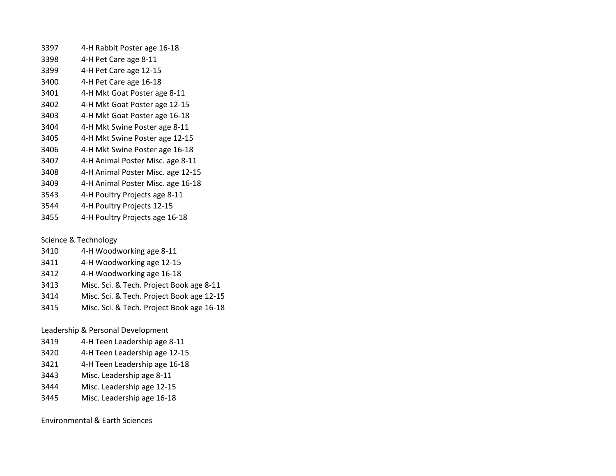| 3397 | 4-H Rabbit Poster age 16-18       |
|------|-----------------------------------|
| 3398 | 4-H Pet Care age 8-11             |
| 3399 | 4-H Pet Care age 12-15            |
| 3400 | 4-H Pet Care age 16-18            |
| 3401 | 4-H Mkt Goat Poster age 8-11      |
| 3402 | 4-H Mkt Goat Poster age 12-15     |
| 3403 | 4-H Mkt Goat Poster age 16-18     |
| 3404 | 4-H Mkt Swine Poster age 8-11     |
| 3405 | 4-H Mkt Swine Poster age 12-15    |
| 3406 | 4-H Mkt Swine Poster age 16-18    |
| 3407 | 4-H Animal Poster Misc. age 8-11  |
| 3408 | 4-H Animal Poster Misc. age 12-15 |
| 3409 | 4-H Animal Poster Misc. age 16-18 |
| 3543 | 4-H Poultry Projects age 8-11     |
| 3544 | 4-H Poultry Projects 12-15        |
|      |                                   |

4-H Poultry Projects age 16-18

# Science & Technology

- 4-H Woodworking age 8-11
- 4-H Woodworking age 12-15
- 4-H Woodworking age 16-18
- Misc. Sci. & Tech. Project Book age 8-11
- Misc. Sci. & Tech. Project Book age 12-15
- Misc. Sci. & Tech. Project Book age 16-18

## Leadership & Personal Development

- 4-H Teen Leadership age 8-11
- 4-H Teen Leadership age 12-15
- 4-H Teen Leadership age 16-18
- Misc. Leadership age 8-11
- Misc. Leadership age 12-15
- Misc. Leadership age 16-18

### Environmental & Earth Sciences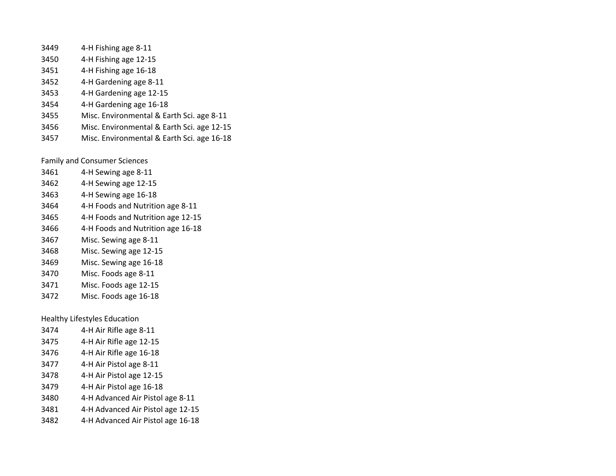- 4-H Fishing age 8-11
- 4-H Fishing age 12-15
- 4-H Fishing age 16-18
- 4-H Gardening age 8-11
- 4-H Gardening age 12-15
- 4-H Gardening age 16-18
- Misc. Environmental & Earth Sci. age 8-11
- Misc. Environmental & Earth Sci. age 12-15
- Misc. Environmental & Earth Sci. age 16-18

Family and Consumer Sciences

| 3461 | 4-H Sewing age 8-11               |
|------|-----------------------------------|
| 3462 | 4-H Sewing age 12-15              |
| 3463 | 4-H Sewing age 16-18              |
| 3464 | 4-H Foods and Nutrition age 8-11  |
| 3465 | 4-H Foods and Nutrition age 12-15 |
| 3466 | 4-H Foods and Nutrition age 16-18 |
| 3467 | Misc. Sewing age 8-11             |
| 3468 | Misc. Sewing age 12-15            |
| 3469 | Misc. Sewing age 16-18            |
| 3470 | Misc. Foods age 8-11              |
| 3471 | Misc. Foods age 12-15             |
| 3472 | Misc. Foods age 16-18             |

Healthy Lifestyles Education

| 3474 | 4-H Air Rifle age 8-11            |
|------|-----------------------------------|
| 3475 | 4-H Air Rifle age 12-15           |
| 3476 | 4-H Air Rifle age 16-18           |
| 3477 | 4-H Air Pistol age 8-11           |
| 3478 | 4-H Air Pistol age 12-15          |
| 3479 | 4-H Air Pistol age 16-18          |
| 3480 | 4-H Advanced Air Pistol age 8-11  |
| 3481 | 4-H Advanced Air Pistol age 12-15 |
| 3482 | 4-H Advanced Air Pistol age 16-18 |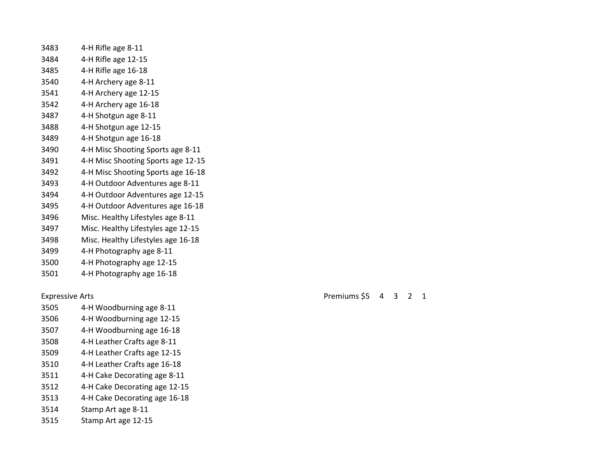| 3483 | 4-H Rifle age 8-11                 |
|------|------------------------------------|
| 3484 | 4-H Rifle age 12-15                |
| 3485 | 4-H Rifle age 16-18                |
| 3540 | 4-H Archery age 8-11               |
| 3541 | 4-H Archery age 12-15              |
| 3542 | 4-H Archery age 16-18              |
| 3487 | 4-H Shotgun age 8-11               |
| 3488 | 4-H Shotgun age 12-15              |
| 3489 | 4-H Shotgun age 16-18              |
| 3490 | 4-H Misc Shooting Sports age 8-11  |
| 3491 | 4-H Misc Shooting Sports age 12-15 |
| 3492 | 4-H Misc Shooting Sports age 16-18 |
| 3493 | 4-H Outdoor Adventures age 8-11    |
| 3494 | 4-H Outdoor Adventures age 12-15   |
| 3495 | 4-H Outdoor Adventures age 16-18   |
| 3496 | Misc. Healthy Lifestyles age 8-11  |
| 3497 | Misc. Healthy Lifestyles age 12-15 |
| 3498 | Misc. Healthy Lifestyles age 16-18 |
| 3499 | 4-H Photography age 8-11           |
| 3500 | 4-H Photography age 12-15          |
| 3501 | 4-H Photography age 16-18          |

- 4-H Woodburning age 8-11
- 4-H Woodburning age 12-15
- 4-H Woodburning age 16-18
- 4-H Leather Crafts age 8-11
- 4-H Leather Crafts age 12-15
- 4-H Leather Crafts age 16-18
- 4-H Cake Decorating age 8-11
- 4-H Cake Decorating age 12-15
- 4-H Cake Decorating age 16-18
- Stamp Art age 8-11
- Stamp Art age 12-15

Expressive Arts **Premiums** \$5 4 3 2 1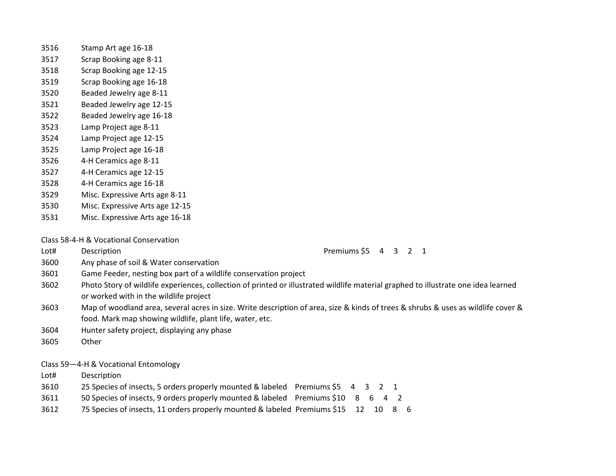- Stamp Art age 16-18
- Scrap Booking age 8-11
- Scrap Booking age 12-15
- Scrap Booking age 16-18
- Beaded Jewelry age 8-11
- Beaded Jewelry age 12-15
- Beaded Jewelry age 16-18
- Lamp Project age 8-11
- Lamp Project age 12-15
- Lamp Project age 16-18
- 4-H Ceramics age 8-11
- 4-H Ceramics age 12-15
- 4-H Ceramics age 16-18
- Misc. Expressive Arts age 8-11
- Misc. Expressive Arts age 12-15
- Misc. Expressive Arts age 16-18

Class 58-4-H & Vocational Conservation

Lot# Description **Premiums \$5 4 3 2 1** 

- Any phase of soil & Water conservation
- Game Feeder, nesting box part of a wildlife conservation project
- Photo Story of wildlife experiences, collection of printed or illustrated wildlife material graphed to illustrate one idea learned or worked with in the wildlife project
- Map of woodland area, several acres in size. Write description of area, size & kinds of trees & shrubs & uses as wildlife cover & food. Mark map showing wildlife, plant life, water, etc.
- Hunter safety project, displaying any phase
- Other

Class 59—4-H & Vocational Entomology

- Lot# Description
- 25 Species of insects, 5 orders properly mounted & labeled Premiums \$5 4 3 2 1
- 50 Species of insects, 9 orders properly mounted & labeled Premiums \$10 8 6 4 2
- 75 Species of insects, 11 orders properly mounted & labeled Premiums \$15 12 10 8 6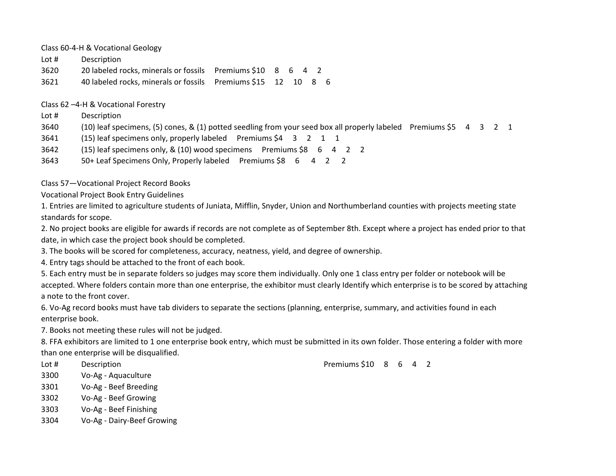Class 60-4-H & Vocational Geology

Lot # Description

3620 20 labeled rocks, minerals or fossils Premiums \$10 8 6 4 2

3621 40 labeled rocks, minerals or fossils Premiums \$15 12 10 8 6

Class 62 –4-H & Vocational Forestry

- Lot # Description
- 3640 (10) leaf specimens, (5) cones, & (1) potted seedling from your seed box all properly labeled Premiums \$5 4 3 2 1

3641 (15) leaf specimens only, properly labeled Premiums \$4 3 2 1 1

3642 (15) leaf specimens only, & (10) wood specimens Premiums \$8 6 4 2 2

3643 50+ Leaf Specimens Only, Properly labeled Premiums \$8 6 4 2 2

Class 57—Vocational Project Record Books

Vocational Project Book Entry Guidelines

1. Entries are limited to agriculture students of Juniata, Mifflin, Snyder, Union and Northumberland counties with projects meeting state standards for scope.

2. No project books are eligible for awards if records are not complete as of September 8th. Except where a project has ended prior to that date, in which case the project book should be completed.

3. The books will be scored for completeness, accuracy, neatness, yield, and degree of ownership.

4. Entry tags should be attached to the front of each book.

5. Each entry must be in separate folders so judges may score them individually. Only one 1 class entry per folder or notebook will be accepted. Where folders contain more than one enterprise, the exhibitor must clearly Identify which enterprise is to be scored by attaching a note to the front cover.

6. Vo-Ag record books must have tab dividers to separate the sections (planning, enterprise, summary, and activities found in each enterprise book.

7. Books not meeting these rules will not be judged.

8. FFA exhibitors are limited to 1 one enterprise book entry, which must be submitted in its own folder. Those entering a folder with more than one enterprise will be disqualified.

3300 Vo-Ag - Aquaculture

- 3301 Vo-Ag Beef Breeding
- 3302 Vo-Ag Beef Growing
- 3303 Vo-Ag Beef Finishing
- 3304 Vo-Ag Dairy-Beef Growing

Lot # Description **Premiums \$10 8 6 4 2**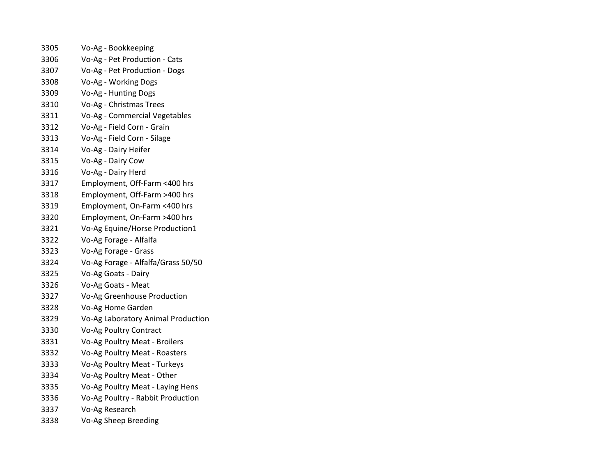| 3305 | Vo-Ag - Bookkeeping                |
|------|------------------------------------|
| 3306 | Vo-Ag - Pet Production - Cats      |
| 3307 | Vo-Ag - Pet Production - Dogs      |
| 3308 | Vo-Ag - Working Dogs               |
| 3309 | Vo-Ag - Hunting Dogs               |
| 3310 | Vo-Ag - Christmas Trees            |
| 3311 | Vo-Ag - Commercial Vegetables      |
| 3312 | Vo-Ag - Field Corn - Grain         |
| 3313 | Vo-Ag - Field Corn - Silage        |
| 3314 | Vo-Ag - Dairy Heifer               |
| 3315 | Vo-Ag - Dairy Cow                  |
| 3316 | Vo-Ag - Dairy Herd                 |
| 3317 | Employment, Off-Farm <400 hrs      |
| 3318 | Employment, Off-Farm >400 hrs      |
| 3319 | Employment, On-Farm <400 hrs       |
| 3320 | Employment, On-Farm >400 hrs       |
| 3321 | Vo-Ag Equine/Horse Production1     |
| 3322 | Vo-Ag Forage - Alfalfa             |
| 3323 | Vo-Ag Forage - Grass               |
| 3324 | Vo-Ag Forage - Alfalfa/Grass 50/50 |
| 3325 | Vo-Ag Goats - Dairy                |
| 3326 | Vo-Ag Goats - Meat                 |
| 3327 | Vo-Ag Greenhouse Production        |
| 3328 | Vo-Ag Home Garden                  |
| 3329 | Vo-Ag Laboratory Animal Production |
| 3330 | Vo-Ag Poultry Contract             |
| 3331 | Vo-Ag Poultry Meat - Broilers      |
| 3332 | Vo-Ag Poultry Meat - Roasters      |
| 3333 | Vo-Ag Poultry Meat - Turkeys       |
| 3334 | Vo-Ag Poultry Meat - Other         |
| 3335 | Vo-Ag Poultry Meat - Laying Hens   |
| 3336 | Vo-Ag Poultry - Rabbit Production  |
| 3337 | Vo-Ag Research                     |
| 3338 | Vo-Ag Sheep Breeding               |